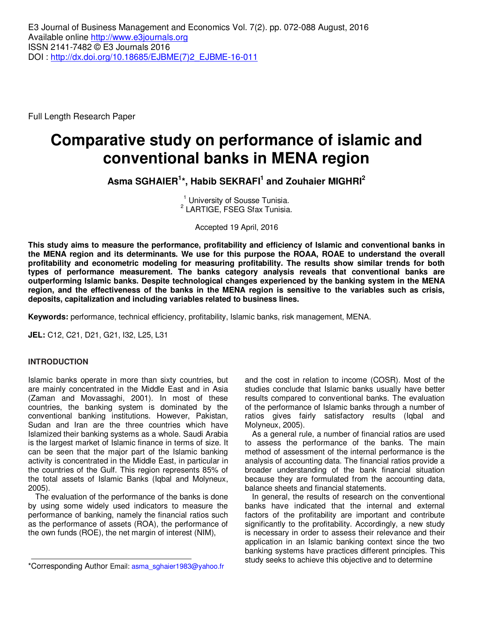Full Length Research Paper

# **Comparative study on performance of islamic and conventional banks in MENA region**

**Asma SGHAIER<sup>1</sup> \*, Habib SEKRAFI<sup>1</sup> and Zouhaier MIGHRI<sup>2</sup>**

<sup>1</sup> University of Sousse Tunisia. 2 LARTIGE, FSEG Sfax Tunisia.

Accepted 19 April, 2016

**This study aims to measure the performance, profitability and efficiency of Islamic and conventional banks in the MENA region and its determinants. We use for this purpose the ROAA, ROAE to understand the overall profitability and econometric modeling for measuring profitability. The results show similar trends for both types of performance measurement. The banks category analysis reveals that conventional banks are outperforming Islamic banks. Despite technological changes experienced by the banking system in the MENA region, and the effectiveness of the banks in the MENA region is sensitive to the variables such as crisis, deposits, capitalization and including variables related to business lines.** 

**Keywords:** performance, technical efficiency, profitability, Islamic banks, risk management, MENA.

**JEL:** C12, C21, D21, G21, I32, L25, L31

### **INTRODUCTION**

Islamic banks operate in more than sixty countries, but are mainly concentrated in the Middle East and in Asia (Zaman and Movassaghi, 2001). In most of these countries, the banking system is dominated by the conventional banking institutions. However, Pakistan, Sudan and Iran are the three countries which have Islamized their banking systems as a whole. Saudi Arabia is the largest market of Islamic finance in terms of size. It can be seen that the major part of the Islamic banking activity is concentrated in the Middle East, in particular in the countries of the Gulf. This region represents 85% of the total assets of Islamic Banks (Iqbal and Molyneux, 2005).

The evaluation of the performance of the banks is done by using some widely used indicators to measure the performance of banking, namely the financial ratios such as the performance of assets (ROA), the performance of the own funds (ROE), the net margin of interest (NIM),

and the cost in relation to income (COSR). Most of the studies conclude that Islamic banks usually have better results compared to conventional banks. The evaluation of the performance of Islamic banks through a number of ratios gives fairly satisfactory results (Iqbal and Molyneux, 2005).

As a general rule, a number of financial ratios are used to assess the performance of the banks. The main method of assessment of the internal performance is the analysis of accounting data. The financial ratios provide a broader understanding of the bank financial situation because they are formulated from the accounting data, balance sheets and financial statements.

In general, the results of research on the conventional banks have indicated that the internal and external factors of the profitability are important and contribute significantly to the profitability. Accordingly, a new study is necessary in order to assess their relevance and their application in an Islamic banking context since the two banking systems have practices different principles. This study seeks to achieve this objective and to determine

<sup>\*</sup>Corresponding Author Email: asma\_sghaier1983@yahoo.fr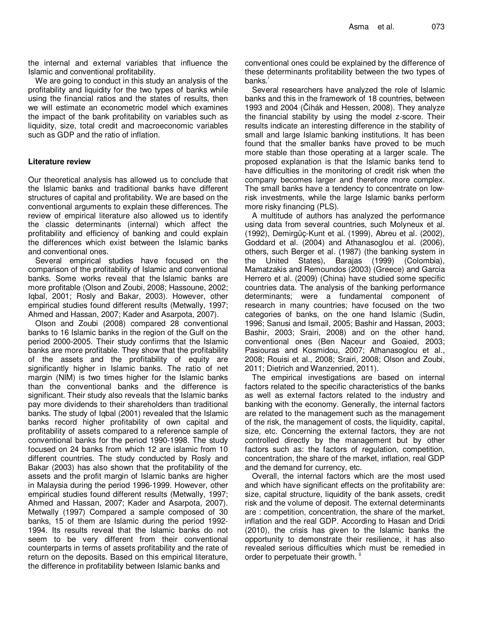the internal and external variables that influence the Islamic and conventional profitability.

We are going to conduct in this study an analysis of the profitability and liquidity for the two types of banks while using the financial ratios and the states of results, then we will estimate an econometric model which examines the impact of the bank profitability on variables such as liquidity, size, total credit and macroeconomic variables such as GDP and the ratio of inflation.

# **Literature review**

Our theoretical analysis has allowed us to conclude that the Islamic banks and traditional banks have different structures of capital and profitability. We are based on the conventional arguments to explain these differences. The review of empirical literature also allowed us to identify the classic determinants (internal) which affect the profitability and efficiency of banking and could explain the differences which exist between the Islamic banks and conventional ones.

Several empirical studies have focused on the comparison of the profitability of Islamic and conventional banks. Some works reveal that the Islamic banks are more profitable (Olson and Zoubi, 2008; Hassoune, 2002; Iqbal, 2001; Rosly and Bakar, 2003). However, other empirical studies found different results (Metwally, 1997; Ahmed and Hassan, 2007; Kader and Asarpota, 2007).

Olson and Zoubi (2008) compared 28 conventional banks to 16 Islamic banks in the region of the Gulf on the period 2000-2005. Their study confirms that the Islamic banks are more profitable. They show that the profitability of the assets and the profitability of equity are significantly higher in Islamic banks. The ratio of net margin (NIM) is two times higher for the Islamic banks than the conventional banks and the difference is significant. Their study also reveals that the Islamic banks pay more dividends to their shareholders than traditional banks. The study of Iqbal (2001) revealed that the Islamic banks record higher profitability of own capital and profitability of assets compared to a reference sample of conventional banks for the period 1990-1998. The study focused on 24 banks from which 12 are islamic from 10 different countries. The study conducted by Rosly and Bakar (2003) has also shown that the profitability of the assets and the profit margin of Islamic banks are higher in Malaysia during the period 1996-1999. However, other empirical studies found different results (Metwally, 1997; Ahmed and Hassan, 2007; Kader and Asarpota, 2007). Metwally (1997) Compared a sample composed of 30 banks, 15 of them are Islamic during the period 1992- 1994. Its results reveal that the Islamic banks do not seem to be very different from their conventional counterparts in terms of assets profitability and the rate of return on the deposits. Based on this empirical literature, the difference in profitability between Islamic banks and

conventional ones could be explained by the difference of these determinants profitability between the two types of banks.

Several researchers have analyzed the role of Islamic banks and this in the framework of 18 countries, between 1993 and 2004 (Čihák and Hessen, 2008). They analyze the financial stability by using the model z-score. Their results indicate an interesting difference in the stability of small and large Islamic banking institutions. It has been found that the smaller banks have proved to be much more stable than those operating at a larger scale. The proposed explanation is that the Islamic banks tend to have difficulties in the monitoring of credit risk when the company becomes larger and therefore more complex. The small banks have a tendency to concentrate on lowrisk investments, while the large Islamic banks perform more risky financing (PLS).

A multitude of authors has analyzed the performance using data from several countries, such Molyneux et al. (1992), Demirgüç-Kunt et al. (1999), Abreu et al. (2002), Goddard et al. (2004) and Athanasoglou et al. (2006), others, such Berger et al. (1987) (the banking system in the United States), Barajas (1999) (Colombia), Mamatzakis and Remoundos (2003) (Greece) and Garcia Herrero et al. (2009) (China) have studied some specific countries data. The analysis of the banking performance determinants; were a fundamental component of research in many countries; have focused on the two categories of banks, on the one hand Islamic (Sudin, 1996; Sanusi and Ismail, 2005; Bashir and Hassan, 2003; Bashir, 2003; Srairi, 2008) and on the other hand, conventional ones (Ben Naceur and Goaied, 2003; Pasiouras and Kosmidou, 2007; Athanasoglou et al., 2008; Rouisi et al., 2008; Srairi, 2008; Olson and Zoubi, 2011; Dietrich and Wanzenried, 2011).

The empirical investigations are based on internal factors related to the specific characteristics of the banks as well as external factors related to the industry and banking with the economy. Generally, the internal factors are related to the management such as the management of the risk, the management of costs, the liquidity, capital, size, etc. Concerning the external factors, they are not controlled directly by the management but by other factors such as: the factors of regulation, competition, concentration, the share of the market, inflation, real GDP and the demand for currency, etc.

Overall, the internal factors which are the most used and which have significant effects on the profitability are: size, capital structure, liquidity of the bank assets, credit risk and the volume of deposit. The external determinants are : competition, concentration, the share of the market, inflation and the real GDP. According to Hasan and Dridi (2010), the crisis has given to the Islamic banks the opportunity to demonstrate their resilience, it has also revealed serious difficulties which must be remedied in order to perpetuate their growth.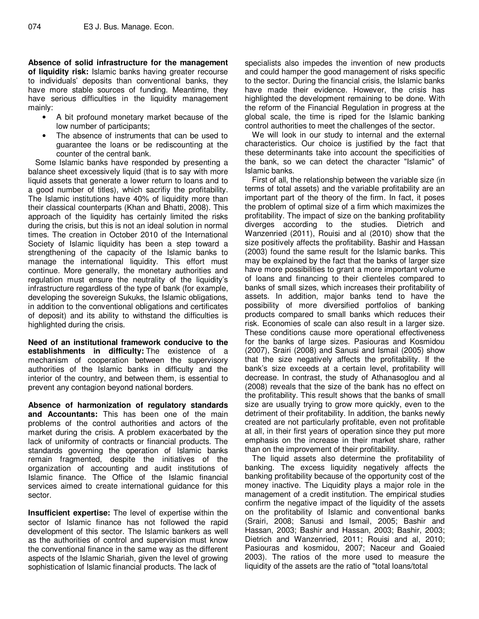**Absence of solid infrastructure for the management of liquidity risk:** Islamic banks having greater recourse to individuals' deposits than conventional banks, they have more stable sources of funding. Meantime, they have serious difficulties in the liquidity management mainly:

- A bit profound monetary market because of the low number of participants;
- The absence of instruments that can be used to guarantee the loans or be rediscounting at the counter of the central bank.

Some Islamic banks have responded by presenting a balance sheet excessively liquid (that is to say with more liquid assets that generate a lower return to loans and to a good number of titles), which sacrifiy the profitability. The Islamic institutions have 40% of liquidity more than their classical counterparts (Khan and Bhatti, 2008). This approach of the liquidity has certainly limited the risks during the crisis, but this is not an ideal solution in normal times. The creation in October 2010 of the International Society of Islamic liquidity has been a step toward a strengthening of the capacity of the Islamic banks to manage the international liquidity. This effort must continue. More generally, the monetary authorities and regulation must ensure the neutrality of the liquidity's infrastructure regardless of the type of bank (for example, developing the sovereign Sukuks, the Islamic obligations, in addition to the conventional obligations and certificates of deposit) and its ability to withstand the difficulties is highlighted during the crisis.

**Need of an institutional framework conducive to the establishments in difficulty:** The existence of a mechanism of cooperation between the supervisory authorities of the Islamic banks in difficulty and the interior of the country, and between them, is essential to prevent any contagion beyond national borders.

**Absence of harmonization of regulatory standards and Accountants:** This has been one of the main problems of the control authorities and actors of the market during the crisis. A problem exacerbated by the lack of uniformity of contracts or financial products. The standards governing the operation of Islamic banks remain fragmented, despite the initiatives of the organization of accounting and audit institutions of Islamic finance. The Office of the Islamic financial services aimed to create international guidance for this sector.

**Insufficient expertise:** The level of expertise within the sector of Islamic finance has not followed the rapid development of this sector. The Islamic bankers as well as the authorities of control and supervision must know the conventional finance in the same way as the different aspects of the Islamic Shariah, given the level of growing sophistication of Islamic financial products. The lack of

specialists also impedes the invention of new products and could hamper the good management of risks specific to the sector. During the financial crisis, the Islamic banks have made their evidence. However, the crisis has highlighted the development remaining to be done. With the reform of the Financial Regulation in progress at the global scale, the time is riped for the Islamic banking control authorities to meet the challenges of the sector.

We will look in our study to internal and the external characteristics. Our choice is justified by the fact that these determinants take into account the specificities of the bank, so we can detect the character "Islamic" of Islamic banks.

First of all, the relationship between the variable size (in terms of total assets) and the variable profitability are an important part of the theory of the firm. In fact, it poses the problem of optimal size of a firm which maximizes the profitability. The impact of size on the banking profitability diverges according to the studies. Dietrich and Wanzenried (2011), Rouisi and al (2010) show that the size positively affects the profitability. Bashir and Hassan (2003) found the same result for the Islamic banks. This may be explained by the fact that the banks of larger size have more possibilities to grant a more important volume of loans and financing to their clienteles compared to banks of small sizes, which increases their profitability of assets. In addition, major banks tend to have the possibility of more diversified portfolios of banking products compared to small banks which reduces their risk. Economies of scale can also result in a larger size. These conditions cause more operational effectiveness for the banks of large sizes. Pasiouras and Kosmidou (2007), Srairi (2008) and Sanusi and Ismail (2005) show that the size negatively affects the profitability. If the bank's size exceeds at a certain level, profitability will decrease. In contrast, the study of Athanasoglou and al (2008) reveals that the size of the bank has no effect on the profitability. This result shows that the banks of small size are usually trying to grow more quickly, even to the detriment of their profitability. In addition, the banks newly created are not particularly profitable, even not profitable at all, in their first years of operation since they put more emphasis on the increase in their market share, rather than on the improvement of their profitability.

The liquid assets also determine the profitability of banking. The excess liquidity negatively affects the banking profitability because of the opportunity cost of the money inactive. The Liquidity plays a major role in the management of a credit institution. The empirical studies confirm the negative impact of the liquidity of the assets on the profitability of Islamic and conventional banks (Srairi, 2008; Sanusi and Ismail, 2005; Bashir and Hassan, 2003; Bashir and Hassan, 2003; Bashir, 2003; Dietrich and Wanzenried, 2011; Rouisi and al, 2010; Pasiouras and kosmidou, 2007; Naceur and Goaied 2003). The ratios of the more used to measure the liquidity of the assets are the ratio of "total loans/total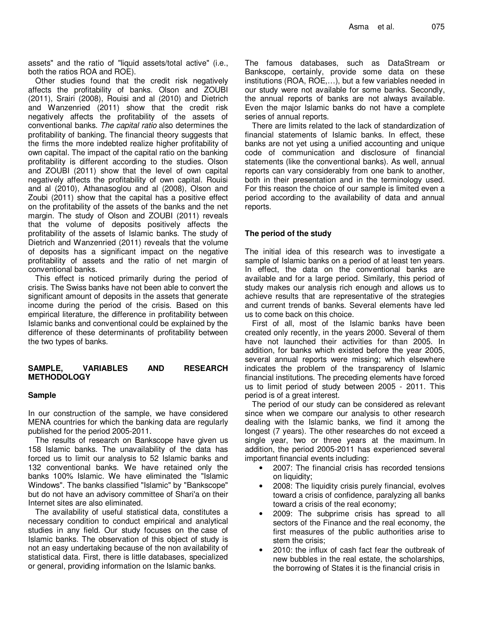assets" and the ratio of "liquid assets/total active" (i.e., both the ratios ROA and ROE).

Other studies found that the credit risk negatively affects the profitability of banks. Olson and ZOUBI (2011), Srairi (2008), Rouisi and al (2010) and Dietrich and Wanzenried (2011) show that the credit risk negatively affects the profitability of the assets of conventional banks. The capital ratio also determines the profitability of banking. The financial theory suggests that the firms the more indebted realize higher profitability of own capital. The impact of the capital ratio on the banking profitability is different according to the studies. Olson and ZOUBI (2011) show that the level of own capital negatively affects the profitability of own capital. Rouisi and al (2010), Athanasoglou and al (2008), Olson and Zoubi (2011) show that the capital has a positive effect on the profitability of the assets of the banks and the net margin. The study of Olson and ZOUBI (2011) reveals that the volume of deposits positively affects the profitability of the assets of Islamic banks. The study of Dietrich and Wanzenried (2011) reveals that the volume of deposits has a significant impact on the negative profitability of assets and the ratio of net margin of conventional banks.

This effect is noticed primarily during the period of crisis. The Swiss banks have not been able to convert the significant amount of deposits in the assets that generate income during the period of the crisis. Based on this empirical literature, the difference in profitability between Islamic banks and conventional could be explained by the difference of these determinants of profitability between the two types of banks.

# **SAMPLE, VARIABLES AND RESEARCH METHODOLOGY**

### **Sample**

In our construction of the sample, we have considered MENA countries for which the banking data are regularly published for the period 2005-2011.

The results of research on Bankscope have given us 158 Islamic banks. The unavailability of the data has forced us to limit our analysis to 52 Islamic banks and 132 conventional banks. We have retained only the banks 100% Islamic. We have eliminated the "Islamic Windows". The banks classified "Islamic" by "Bankscope" but do not have an advisory committee of Shari'a on their Internet sites are also eliminated.

The availability of useful statistical data, constitutes a necessary condition to conduct empirical and analytical studies in any field. Our study focuses on the case of Islamic banks. The observation of this object of study is not an easy undertaking because of the non availability of statistical data. First, there is little databases, specialized or general, providing information on the Islamic banks.

The famous databases, such as DataStream or Bankscope, certainly, provide some data on these institutions (ROA, ROE,…), but a few variables needed in our study were not available for some banks. Secondly, the annual reports of banks are not always available. Even the major Islamic banks do not have a complete series of annual reports.

There are limits related to the lack of standardization of financial statements of Islamic banks. In effect, these banks are not yet using a unified accounting and unique code of communication and disclosure of financial statements (like the conventional banks). As well, annual reports can vary considerably from one bank to another, both in their presentation and in the terminology used. For this reason the choice of our sample is limited even a period according to the availability of data and annual reports.

### **The period of the study**

The initial idea of this research was to investigate a sample of Islamic banks on a period of at least ten years. In effect, the data on the conventional banks are available and for a large period. Similarly, this period of study makes our analysis rich enough and allows us to achieve results that are representative of the strategies and current trends of banks. Several elements have led us to come back on this choice.

First of all, most of the Islamic banks have been created only recently, in the years 2000. Several of them have not launched their activities for than 2005. In addition, for banks which existed before the year 2005, several annual reports were missing; which elsewhere indicates the problem of the transparency of Islamic financial institutions. The preceding elements have forced us to limit period of study between 2005 - 2011. This period is of a great interest.

The period of our study can be considered as relevant since when we compare our analysis to other research dealing with the Islamic banks, we find it among the longest (7 years). The other researches do not exceed a single year, two or three years at the maximum. In addition, the period 2005-2011 has experienced several important financial events including:

- 2007: The financial crisis has recorded tensions on liquidity;
- 2008: The liquidity crisis purely financial, evolves toward a crisis of confidence, paralyzing all banks toward a crisis of the real economy;
- 2009: The subprime crisis has spread to all sectors of the Finance and the real economy, the first measures of the public authorities arise to stem the crisis;
- 2010: the influx of cash fact fear the outbreak of new bubbles in the real estate, the scholarships, the borrowing of States it is the financial crisis in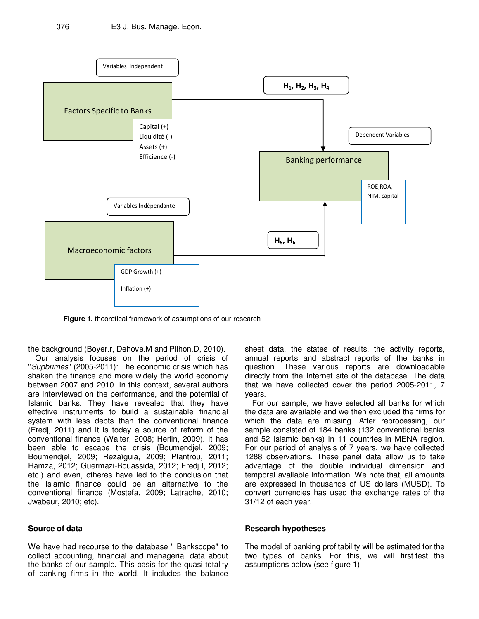

**Figure 1.** theoretical framework of assumptions of our research

the background (Boyer.r, Dehove.M and Plihon.D, 2010).

Our analysis focuses on the period of crisis of "Supbrimes" (2005-2011): The economic crisis which has shaken the finance and more widely the world economy between 2007 and 2010. In this context, several authors are interviewed on the performance, and the potential of Islamic banks. They have revealed that they have effective instruments to build a sustainable financial system with less debts than the conventional finance (Fredj, 2011) and it is today a source of reform of the conventional finance (Walter, 2008; Herlin, 2009). It has been able to escape the crisis (Boumendjel, 2009; Boumendjel, 2009; Rezaïguia, 2009; Plantrou, 2011; Hamza, 2012; Guermazi-Bouassida, 2012; Fredj.I, 2012; etc.) and even, otheres have led to the conclusion that the Islamic finance could be an alternative to the conventional finance (Mostefa, 2009; Latrache, 2010; Jwabeur, 2010; etc).

# **Source of data**

We have had recourse to the database " Bankscope" to collect accounting, financial and managerial data about the banks of our sample. This basis for the quasi-totality of banking firms in the world. It includes the balance

sheet data, the states of results, the activity reports, annual reports and abstract reports of the banks in question. These various reports are downloadable directly from the Internet site of the database. The data that we have collected cover the period 2005-2011, 7 years.

For our sample, we have selected all banks for which the data are available and we then excluded the firms for which the data are missing. After reprocessing, our sample consisted of 184 banks (132 conventional banks and 52 Islamic banks) in 11 countries in MENA region. For our period of analysis of 7 years, we have collected 1288 observations. These panel data allow us to take advantage of the double individual dimension and temporal available information. We note that, all amounts are expressed in thousands of US dollars (MUSD). To convert currencies has used the exchange rates of the 31/12 of each year.

#### **Research hypotheses**

The model of banking profitability will be estimated for the two types of banks. For this, we will first test the assumptions below (see figure 1)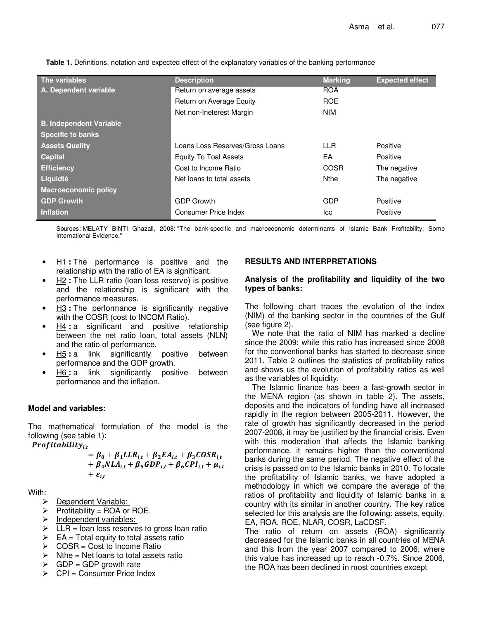**The variables Description Marking Expected effect A. Dependent variable** Return on average assets ROA Return on Average Equity **ROE** Net non-Ineterest Margin NIM **B. Independent Variable Specific to banks Assets Quality Loans Loans Loans Loans Reserves/Gross Loans LLC CLL Reserves LOANS Capital** Equity To Toal Assets EA Positive **Efficiency** Cost to Income Ratio COSR The negative COSR The negative **Liquidté** The negative Net loans to total assets Nthe Net Physics The negative **Macroeconomic policy GDP Growth GDP Growth GDP Growth GDP Growth GDP Growth Inflation** Consumer Price Index **Icc Positive** Positive

**Table 1.** Definitions, notation and expected effect of the explanatory variables of the banking performance

Sources: MELATY BINTI Ghazali, 2008: "The bank-specific and macroeconomic determinants of Islamic Bank Profitability: Some International Evidence."

- H1 **:** The performance is positive and the relationship with the ratio of EA is significant.
- H2 **:** The LLR ratio (loan loss reserve) is positive and the relationship is significant with the performance measures.
- **H3** : The performance is significantly negative with the COSR (cost to INCOM Ratio).
- H4 **:** a significant and positive relationship between the net ratio loan, total assets (NLN) and the ratio of performance.
- H5 **:** a link significantly positive between performance and the GDP growth.
- H6 **:** a link significantly positive between performance and the inflation.

# **Model and variables:**

The mathematical formulation of the model is the following (see table 1):

Profitability<sub>i,t</sub>

$$
= \beta_0 + \beta_1 LLR_{i,t} + \beta_2 EA_{i,t} + \beta_3 COSR_{i,t} + \beta_4 NLA_{i,t} + \beta_5 GDP_{i,t} + \beta_6 CPU_{i,t} + \mu_{i,t} + \varepsilon_{i,t}
$$

With:

- **Dependent Variable:**
- $\triangleright$  Profitability = ROA or ROE.
- Independent variables:
- $\triangleright$  LLR = loan loss reserves to gross loan ratio
- $\triangleright$  EA = Total equity to total assets ratio
- $\triangleright$  COSR = Cost to Income Ratio
- $\triangleright$  Nthe = Net loans to total assets ratio
- $\triangleright$  GDP = GDP growth rate
- $\triangleright$  CPI = Consumer Price Index

## **RESULTS AND INTERPRETATIONS**

#### **Analysis of the profitability and liquidity of the two types of banks:**

The following chart traces the evolution of the index (NIM) of the banking sector in the countries of the Gulf (see figure 2).

We note that the ratio of NIM has marked a decline since the 2009; while this ratio has increased since 2008 for the conventional banks has started to decrease since 2011. Table 2 outlines the statistics of profitability ratios and shows us the evolution of profitability ratios as well as the variables of liquidity.

The Islamic finance has been a fast-growth sector in the MENA region (as shown in table 2). The assets, deposits and the indicators of funding have all increased rapidly in the region between 2005-2011. However, the rate of growth has significantly decreased in the period 2007-2008, it may be justified by the financial crisis. Even with this moderation that affects the Islamic banking performance, it remains higher than the conventional banks during the same period. The negative effect of the crisis is passed on to the Islamic banks in 2010. To locate the profitability of Islamic banks, we have adopted a methodology in which we compare the average of the ratios of profitability and liquidity of Islamic banks in a country with its similar in another country. The key ratios selected for this analysis are the following: assets, equity, EA, ROA, ROE, NLAR, COSR, LaCDSF.

The ratio of return on assets (ROA) significantly decreased for the Islamic banks in all countries of MENA and this from the year 2007 compared to 2006; where this value has increased up to reach -0.7%. Since 2006, the ROA has been declined in most countries except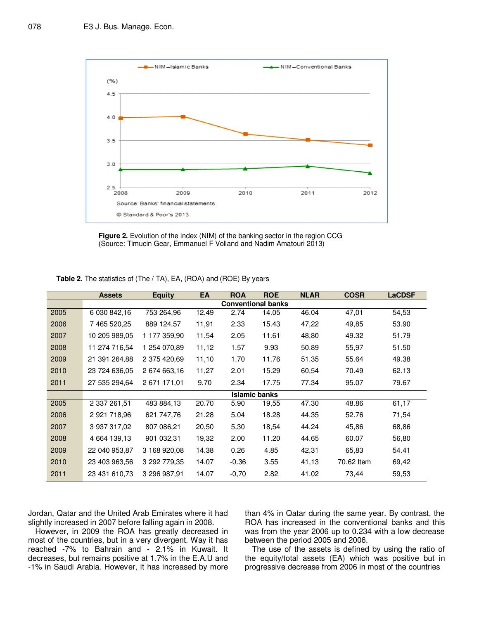

**Figure 2.** Evolution of the index (NIM) of the banking sector in the region CCG (Source: Timucin Gear, Emmanuel F Volland and Nadim Amatouri 2013)

|      | <b>Assets</b>             | <b>Equity</b> | EA    | <b>ROA</b> | <b>ROE</b>    | <b>NLAR</b> | <b>COSR</b> | <b>LaCDSF</b> |  |  |
|------|---------------------------|---------------|-------|------------|---------------|-------------|-------------|---------------|--|--|
|      | <b>Conventional banks</b> |               |       |            |               |             |             |               |  |  |
| 2005 | 6 030 842,16              | 753 264,96    | 12.49 | 2.74       | 14.05         | 46.04       | 47,01       | 54,53         |  |  |
| 2006 | 7 465 520,25              | 889 124.57    | 11,91 | 2.33       | 15.43         | 47,22       | 49,85       | 53.90         |  |  |
| 2007 | 10 205 989,05             | 1 177 359,90  | 11.54 | 2.05       | 11.61         | 48,80       | 49.32       | 51.79         |  |  |
| 2008 | 11 274 716,54             | 1 254 070,89  | 11,12 | 1.57       | 9.93          | 50.89       | 55,97       | 51.50         |  |  |
| 2009 | 21 391 264,88             | 2 375 420,69  | 11,10 | 1.70       | 11.76         | 51.35       | 55.64       | 49.38         |  |  |
| 2010 | 23 724 636,05             | 2 674 663,16  | 11,27 | 2.01       | 15.29         | 60,54       | 70.49       | 62.13         |  |  |
| 2011 | 27 535 294,64             | 2 671 171,01  | 9.70  | 2.34       | 17.75         | 77.34       | 95.07       | 79.67         |  |  |
|      |                           |               |       |            | Islamic banks |             |             |               |  |  |
| 2005 | 2 337 261,51              | 483 884,13    | 20.70 | 5.90       | 19,55         | 47.30       | 48.86       | 61,17         |  |  |
| 2006 | 2 921 718,96              | 621 747,76    | 21.28 | 5.04       | 18.28         | 44.35       | 52.76       | 71,54         |  |  |
| 2007 | 3 937 317,02              | 807 086,21    | 20,50 | 5,30       | 18,54         | 44.24       | 45,86       | 68,86         |  |  |
| 2008 | 4 664 139,13              | 901 032,31    | 19,32 | 2.00       | 11.20         | 44.65       | 60.07       | 56,80         |  |  |
| 2009 | 22 040 953,87             | 3 168 920,08  | 14.38 | 0.26       | 4.85          | 42,31       | 65,83       | 54.41         |  |  |
| 2010 | 23 403 963,56             | 3 292 779.35  | 14.07 | $-0.36$    | 3.55          | 41,13       | 70.62 Item  | 69,42         |  |  |
| 2011 | 23 431 610,73             | 3 296 987,91  | 14.07 | $-0,70$    | 2.82          | 41.02       | 73,44       | 59,53         |  |  |

**Table 2.** The statistics of (The / TA), EA, (ROA) and (ROE) By years

Jordan, Qatar and the United Arab Emirates where it had slightly increased in 2007 before falling again in 2008.

However, in 2009 the ROA has greatly decreased in most of the countries, but in a very divergent. Way it has reached -7% to Bahrain and - 2.1% in Kuwait. It decreases, but remains positive at 1.7% in the E.A.U and -1% in Saudi Arabia. However, it has increased by more

than 4% in Qatar during the same year. By contrast, the ROA has increased in the conventional banks and this was from the year 2006 up to 0.234 with a low decrease between the period 2005 and 2006.

The use of the assets is defined by using the ratio of the equity/total assets (EA) which was positive but in progressive decrease from 2006 in most of the countries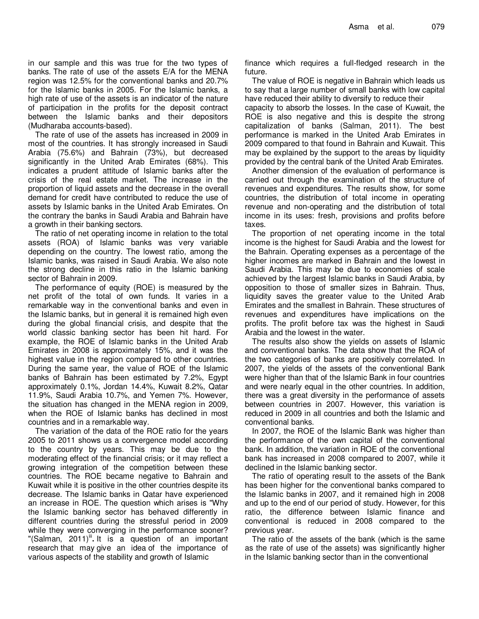in our sample and this was true for the two types of banks. The rate of use of the assets E/A for the MENA region was 12.5% for the conventional banks and 20.7% for the Islamic banks in 2005. For the Islamic banks, a high rate of use of the assets is an indicator of the nature of participation in the profits for the deposit contract between the Islamic banks and their depositors (Mudharaba accounts-based).

The rate of use of the assets has increased in 2009 in most of the countries. It has strongly increased in Saudi Arabia (75.6%) and Bahrain (73%), but decreased significantly in the United Arab Emirates (68%). This indicates a prudent attitude of Islamic banks after the crisis of the real estate market. The increase in the proportion of liquid assets and the decrease in the overall demand for credit have contributed to reduce the use of assets by Islamic banks in the United Arab Emirates. On the contrary the banks in Saudi Arabia and Bahrain have a growth in their banking sectors.

The ratio of net operating income in relation to the total assets (ROA) of Islamic banks was very variable depending on the country. The lowest ratio, among the Islamic banks, was raised in Saudi Arabia. We also note the strong decline in this ratio in the Islamic banking sector of Bahrain in 2009.

The performance of equity (ROE) is measured by the net profit of the total of own funds. It varies in a remarkable way in the conventional banks and even in the Islamic banks, but in general it is remained high even during the global financial crisis, and despite that the world classic banking sector has been hit hard. For example, the ROE of Islamic banks in the United Arab Emirates in 2008 is approximately 15%, and it was the highest value in the region compared to other countries. During the same year, the value of ROE of the Islamic banks of Bahrain has been estimated by 7.2%, Egypt approximately 0.1%, Jordan 14.4%, Kuwait 8.2%, Qatar 11.9%, Saudi Arabia 10.7%, and Yemen 7%. However, the situation has changed in the MENA region in 2009, when the ROE of Islamic banks has declined in most countries and in a remarkable way.

The variation of the data of the ROE ratio for the years 2005 to 2011 shows us a convergence model according to the country by years. This may be due to the moderating effect of the financial crisis; or it may reflect a growing integration of the competition between these countries. The ROE became negative to Bahrain and Kuwait while it is positive in the other countries despite its decrease. The Islamic banks in Qatar have experienced an increase in ROE. The question which arises is "Why the Islamic banking sector has behaved differently in different countries during the stressful period in 2009 while they were converging in the performance sooner? "(Salman, 2011)<sup>ii</sup> It is a question of an important research that may give an idea of the importance of various aspects of the stability and growth of Islamic

finance which requires a full-fledged research in the future.

The value of ROE is negative in Bahrain which leads us to say that a large number of small banks with low capital have reduced their ability to diversify to reduce their

capacity to absorb the losses. In the case of Kuwait, the ROE is also negative and this is despite the strong capitalization of banks (Salman, 2011). The best performance is marked in the United Arab Emirates in 2009 compared to that found in Bahrain and Kuwait. This may be explained by the support to the areas by liquidity provided by the central bank of the United Arab Emirates.

Another dimension of the evaluation of performance is carried out through the examination of the structure of revenues and expenditures. The results show, for some countries, the distribution of total income in operating revenue and non-operating and the distribution of total income in its uses: fresh, provisions and profits before taxes.

The proportion of net operating income in the total income is the highest for Saudi Arabia and the lowest for the Bahrain. Operating expenses as a percentage of the higher incomes are marked in Bahrain and the lowest in Saudi Arabia. This may be due to economies of scale achieved by the largest Islamic banks in Saudi Arabia, by opposition to those of smaller sizes in Bahrain. Thus, liquidity saves the greater value to the United Arab Emirates and the smallest in Bahrain. These structures of revenues and expenditures have implications on the profits. The profit before tax was the highest in Saudi Arabia and the lowest in the water.

The results also show the yields on assets of Islamic and conventional banks. The data show that the ROA of the two categories of banks are positively correlated. In 2007, the yields of the assets of the conventional Bank were higher than that of the Islamic Bank in four countries and were nearly equal in the other countries. In addition, there was a great diversity in the performance of assets between countries in 2007. However, this variation is reduced in 2009 in all countries and both the Islamic and conventional banks.

In 2007, the ROE of the Islamic Bank was higher than the performance of the own capital of the conventional bank. In addition, the variation in ROE of the conventional bank has increased in 2008 compared to 2007, while it declined in the Islamic banking sector.

The ratio of operating result to the assets of the Bank has been higher for the conventional banks compared to the Islamic banks in 2007, and it remained high in 2008 and up to the end of our period of study. However, for this ratio, the difference between Islamic finance and conventional is reduced in 2008 compared to the previous year.

The ratio of the assets of the bank (which is the same as the rate of use of the assets) was significantly higher in the Islamic banking sector than in the conventional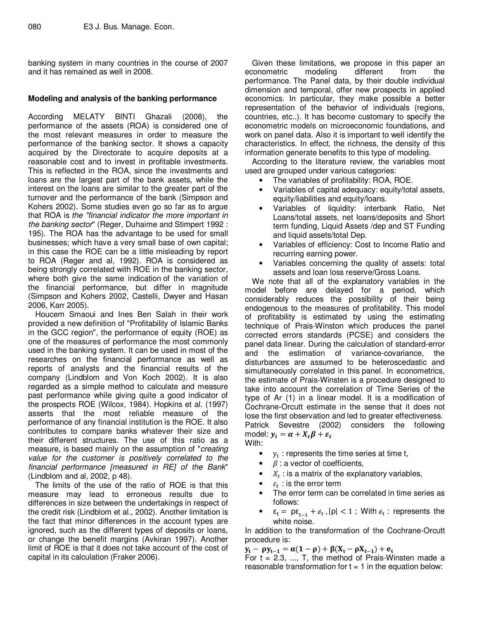banking system in many countries in the course of 2007 and it has remained as well in 2008.

### **Modeling and analysis of the banking performance**

According MELATY BINTI Ghazali (2008), the performance of the assets (ROA) is considered one of the most relevant measures in order to measure the performance of the banking sector. It shows a capacity acquired by the Directorate to acquire deposits at a reasonable cost and to invest in profitable investments. This is reflected in the ROA, since the investments and loans are the largest part of the bank assets, while the interest on the loans are similar to the greater part of the turnover and the performance of the bank (Simpson and Kohers 2002). Some studies even go so far as to argue that ROA is the "financial indicator the more important in the banking sector" (Reger, Duhaime and Stimpert 1992 : 195). The ROA has the advantage to be used for small businesses; which have a very small base of own capital; in this case the ROE can be a little misleading by report to ROA (Reger and al, 1992). ROA is considered as being strongly correlated with ROE in the banking sector, where both give the same indication of the variation of the financial performance, but differ in magnitude (Simpson and Kohers 2002, Castelli, Dwyer and Hasan 2006, Karr 2005).

Houcem Smaoui and Ines Ben Salah in their work provided a new definition of "Profitability of Islamic Banks in the GCC region", the performance of equity (ROE) as one of the measures of performance the most commonly used in the banking system. It can be used in most of the researches on the financial performance as well as reports of analysts and the financial results of the company (Lindblom and Von Koch 2002). It is also regarded as a simple method to calculate and measure past performance while giving quite a good indicator of the prospects ROE (Wilcox, 1984). Hopkins et al. (1997) asserts that the most reliable measure of the performance of any financial institution is the ROE. It also contributes to compare banks whatever their size and their different structures. The use of this ratio as a measure, is based mainly on the assumption of "creating value for the customer is positively correlated to the financial performance [measured in RE] of the Bank" (Lindblom and al, 2002, p 48).

The limits of the use of the ratio of ROE is that this measure may lead to erroneous results due to differences in size between the undertakings in respect of the credit risk (Lindblom et al., 2002). Another limitation is the fact that minor differences in the account types are ignored, such as the different types of deposits or loans, or change the benefit margins (Avkiran 1997). Another limit of ROE is that it does not take account of the cost of capital in its calculation (Fraker 2006).

Given these limitations, we propose in this paper an econometric modeling different from the performance. The Panel data, by their double individual dimension and temporal, offer new prospects in applied economics. In particular, they make possible a better representation of the behavior of individuals (regions, countries, etc..). It has become customary to specify the econometric models on microeconomic foundations, and work on panel data. Also it is important to well identify the characteristics. In effect, the richness, the density of this information generate benefits to this type of modeling.

According to the literature review, the variables most used are grouped under various categories:

- The variables of profitability: ROA, ROE.
- Variables of capital adequacy: equity/total assets, equity/liabilities and equity/loans.
- Variables of liquidity: interbank Ratio, Net Loans/total assets, net loans/deposits and Short term funding, Liquid Assets /dep and ST Funding and liquid assets/total Dep.
- Variables of efficiency: Cost to Income Ratio and recurring earning power.
- Variables concerning the quality of assets: total assets and loan loss reserve/Gross Loans.

We note that all of the explanatory variables in the model before are delayed for a period, which considerably reduces the possibility of their being endogenous to the measures of profitability. This model of profitability is estimated by using the estimating technique of Prais-Winston which produces the panel corrected errors standards (PCSE) and considers the panel data linear. During the calculation of standard-error and the estimation of variance-covariance, the disturbances are assumed to be heteroscedastic and simultaneously correlated in this panel. In econometrics, the estimate of Prais-Winsten is a procedure designed to take into account the correlation of Time Series of the type of Ar (1) in a linear model. It is a modification of Cochrane-Orcutt estimate in the sense that it does not lose the first observation and led to greater effectiveness. Patrick Sevestre (2002) considers the following model:  $y_t = \alpha + X_t \beta + \varepsilon_t$ 

With:

- $\bullet$   $y_t$ : represents the time series at time t,
- $\beta$  : a vector of coefficients,
- $X_t$ : is a matrix of the explanatory variables,
- $\varepsilon_t$ : is the error term
- The error term can be correlated in time series as follows:
- $\varepsilon_t = \rho \varepsilon_{t-1} + e_t$ ,  $|\rho| < 1$ ; With  $e_t$ : represents the white noise.

In addition to the transformation of the Cochrane-Orcutt procedure is:

 $y_t - \rho y_{t-1} = \alpha(1-\rho) + \beta(X_t - \rho X_{t-1}) + e_t$ 

For  $t = 2.3, ..., T$ , the method of Prais-Winsten made a reasonable transformation for  $t = 1$  in the equation below: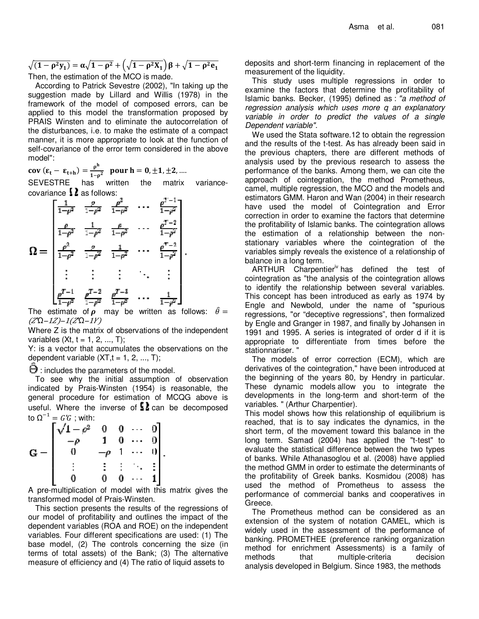$$
\sqrt{(1 - \rho^2 y_1)} = \alpha \sqrt{1 - \rho^2} + \left(\sqrt{1 - \rho^2 X_1}\right) \beta + \sqrt{1 - \rho^2 e_1}
$$
  
Then the estimation of the MCO is made

Then, the estimation of the MCO is made.

According to Patrick Sevestre (2002), "In taking up the suggestion made by Lillard and Willis (1978) in the framework of the model of composed errors, can be applied to this model the transformation proposed by PRAIS Winsten and to eliminate the autocorrelation of the disturbances, i.e. to make the estimate of a compact manner, it is more appropriate to look at the function of self-covariance of the error term considered in the above model":

$$
cov (\varepsilon_t - \varepsilon_{t+h}) = \frac{\rho^h}{1 - \rho^2} \quad pour \ h = 0, \pm 1, \pm 2, ....
$$

SEVESTRE has written the matrix variancecovariance  $\Omega$  as follows:

$$
\Omega = \begin{bmatrix} \frac{1}{1-\rho^2} & \frac{\rho}{1-\rho^2} & \frac{\rho^2}{1-\rho^2} & \cdots & \frac{\rho^{T-1}}{1-\rho^2} \\[1.5ex] \frac{\rho}{1-\rho^2} & \frac{1}{1-\rho^2} & \frac{\rho}{1-\rho^2} & \cdots & \frac{\rho^{T-2}}{1-\rho^2} \\[1.5ex] \frac{\rho^2}{1-\rho^2} & \frac{\rho}{1-\rho^2} & \frac{1}{1-\rho^2} & \cdots & \frac{\rho^{T-2}}{1-\rho^2} \\[1.5ex] \vdots & \vdots & \vdots & \vdots \\[1.5ex] \frac{\rho^{T-1}}{1-\rho^2} & \frac{\rho^{T-2}}{1-\rho^2} & \frac{\rho^{T-3}}{1-\rho^2} & \cdots & \frac{1}{1-\rho^2} \end{bmatrix}.
$$

The estimate of  $\rho$  may be written as follows:  $\hat{\theta} =$  $(Z$ <sup>*Ω*−1*Z*)−1(Z<sup>*Ω*</sup>−1*Y*)</sup>

Where Z is the matrix of observations of the independent variables  $(Xt, t = 1, 2, ..., T)$ ;

Y: is a vector that accumulates the observations on the dependent variable  $(XT, t = 1, 2, ..., T)$ ;

 $\Theta$  : includes the parameters of the model.

To see why the initial assumption of observation indicated by Prais-Winsten (1954) is reasonable, the general procedure for estimation of MCQG above is useful. Where the inverse of  $\Omega$  can be decomposed to Ω<sup>-1</sup> = *G'G* ; with:

| $\lceil \sqrt{1-\rho^2} \rceil$ | $\frac{0}{1}$ | $0 \cdots$     |                        |  |
|---------------------------------|---------------|----------------|------------------------|--|
|                                 |               | $\overline{0}$ |                        |  |
|                                 |               | $\sim 100$     |                        |  |
|                                 |               | 'n.            | $\left  \cdot \right $ |  |
|                                 |               |                |                        |  |

A pre-multiplication of model with this matrix gives the transformed model of Prais-Winsten.

This section presents the results of the regressions of our model of profitability and outlines the impact of the dependent variables (ROA and ROE) on the independent variables. Four different specifications are used: (1) The base model, (2) The controls concerning the size (in terms of total assets) of the Bank; (3) The alternative measure of efficiency and (4) The ratio of liquid assets to

deposits and short-term financing in replacement of the measurement of the liquidity.

This study uses multiple regressions in order to examine the factors that determine the profitability of Islamic banks. Becker, (1995) defined as : "a method of regression analysis which uses more q an explanatory variable in order to predict the values of a single Dependent variable".

We used the Stata software.12 to obtain the regression and the results of the t-test. As has already been said in the previous chapters, there are different methods of analysis used by the previous research to assess the performance of the banks. Among them, we can cite the approach of cointegration, the method Prometheus, camel, multiple regression, the MCO and the models and estimators GMM. Haron and Wan (2004) in their research have used the model of Cointegration and Error correction in order to examine the factors that determine the profitability of Islamic banks. The cointegration allows the estimation of a relationship between the nonstationary variables where the cointegration of the variables simply reveals the existence of a relationship of balance in a long term.

ARTHUR Charpentier<sup>iv</sup> has defined the test of cointegration as "the analysis of the cointegration allows to identify the relationship between several variables. This concept has been introduced as early as 1974 by Engle and Newbold, under the name of "spurious regressions, "or "deceptive regressions", then formalized by Engle and Granger in 1987, and finally by Johansen in 1991 and 1995. A series is integrated of order d if it is appropriate to differentiate from times before the stationnariser. "

The models of error correction (ECM), which are derivatives of the cointegration," have been introduced at the beginning of the years 80, by Hendry in particular. These dynamic models allow you to integrate the developments in the long-term and short-term of the variables. " (Arthur Charpentier).

This model shows how this relationship of equilibrium is reached, that is to say indicates the dynamics, in the short term, of the movement toward this balance in the long term. Samad (2004) has applied the "t-test" to evaluate the statistical difference between the two types of banks. While Athanasoglou et al. (2008) have applied the method GMM in order to estimate the determinants of the profitability of Greek banks. Kosmidou (2008) has used the method of Prometheus to assess the performance of commercial banks and cooperatives in Greece.

The Prometheus method can be considered as an extension of the system of notation CAMEL, which is widely used in the assessment of the performance of banking. PROMETHEE (preference ranking organization method for enrichment Assessments) is a family of methods that multiple-criteria decision analysis developed in Belgium. Since 1983, the methods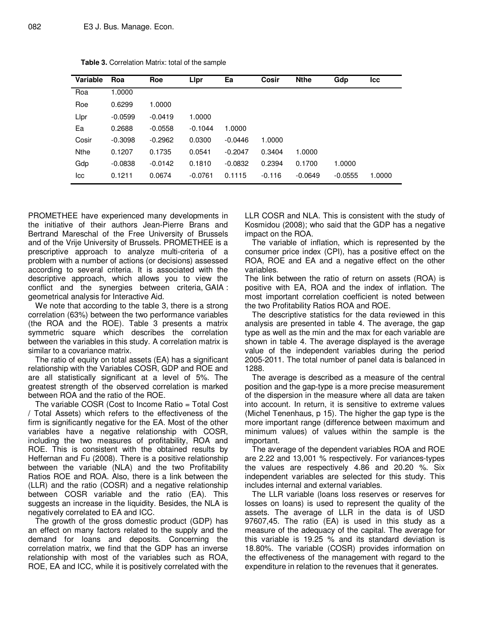| Variable    | Roa       | Roe       | Lipr      | Ea        | Cosir    | <b>Nthe</b> | Gdp       | Icc    |
|-------------|-----------|-----------|-----------|-----------|----------|-------------|-----------|--------|
| Roa         | 1.0000    |           |           |           |          |             |           |        |
| Roe         | 0.6299    | 1.0000    |           |           |          |             |           |        |
| Llpr        | $-0.0599$ | $-0.0419$ | 1.0000    |           |          |             |           |        |
| Ea          | 0.2688    | $-0.0558$ | $-0.1044$ | 1.0000    |          |             |           |        |
| Cosir       | $-0.3098$ | $-0.2962$ | 0.0300    | $-0.0446$ | 1.0000   |             |           |        |
| <b>Nthe</b> | 0.1207    | 0.1735    | 0.0541    | $-0.2047$ | 0.3404   | 1.0000      |           |        |
| Gdp         | $-0.0838$ | $-0.0142$ | 0.1810    | $-0.0832$ | 0.2394   | 0.1700      | 1.0000    |        |
| lcc         | 0.1211    | 0.0674    | $-0.0761$ | 0.1115    | $-0.116$ | $-0.0649$   | $-0.0555$ | 1.0000 |

**Table 3.** Correlation Matrix: total of the sample

PROMETHEE have experienced many developments in the initiative of their authors Jean-Pierre Brans and Bertrand Mareschal of the Free University of Brussels and of the Vrije University of Brussels. PROMETHEE is a prescriptive approach to analyze multi-criteria of a problem with a number of actions (or decisions) assessed according to several criteria. It is associated with the descriptive approach, which allows you to view the conflict and the synergies between criteria, GAIA : geometrical analysis for Interactive Aid.

We note that according to the table 3, there is a strong correlation (63%) between the two performance variables (the ROA and the ROE). Table 3 presents a matrix symmetric square which describes the correlation between the variables in this study. A correlation matrix is similar to a covariance matrix.

The ratio of equity on total assets (EA) has a significant relationship with the Variables COSR, GDP and ROE and are all statistically significant at a level of 5%. The greatest strength of the observed correlation is marked between ROA and the ratio of the ROE.

The variable COSR (Cost to Income Ratio = Total Cost / Total Assets) which refers to the effectiveness of the firm is significantly negative for the EA. Most of the other variables have a negative relationship with COSR, including the two measures of profitability, ROA and ROE. This is consistent with the obtained results by Heffernan and Fu (2008). There is a positive relationship between the variable (NLA) and the two Profitability Ratios ROE and ROA. Also, there is a link between the (LLR) and the ratio (COSR) and a negative relationship between COSR variable and the ratio (EA). This suggests an increase in the liquidity. Besides, the NLA is negatively correlated to EA and ICC.

The growth of the gross domestic product (GDP) has an effect on many factors related to the supply and the demand for loans and deposits. Concerning the correlation matrix, we find that the GDP has an inverse relationship with most of the variables such as ROA, ROE, EA and ICC, while it is positively correlated with the LLR COSR and NLA. This is consistent with the study of Kosmidou (2008); who said that the GDP has a negative impact on the ROA.

The variable of inflation, which is represented by the consumer price index (CPI), has a positive effect on the ROA, ROE and EA and a negative effect on the other variables.

The link between the ratio of return on assets (ROA) is positive with EA, ROA and the index of inflation. The most important correlation coefficient is noted between the two Profitability Ratios ROA and ROE.

The descriptive statistics for the data reviewed in this analysis are presented in table 4. The average, the gap type as well as the min and the max for each variable are shown in table 4. The average displayed is the average value of the independent variables during the period 2005-2011. The total number of panel data is balanced in 1288.

The average is described as a measure of the central position and the gap-type is a more precise measurement of the dispersion in the measure where all data are taken into account. In return, it is sensitive to extreme values (Michel Tenenhaus, p 15). The higher the gap type is the more important range (difference between maximum and minimum values) of values within the sample is the important.

The average of the dependent variables ROA and ROE are 2.22 and 13,001 % respectively. For variances-types the values are respectively 4.86 and 20.20 %. Six independent variables are selected for this study. This includes internal and external variables.

The LLR variable (loans loss reserves or reserves for losses on loans) is used to represent the quality of the assets. The average of LLR in the data is of USD 97607,45. The ratio (EA) is used in this study as a measure of the adequacy of the capital. The average for this variable is 19.25 % and its standard deviation is 18.80%. The variable (COSR) provides information on the effectiveness of the management with regard to the expenditure in relation to the revenues that it generates.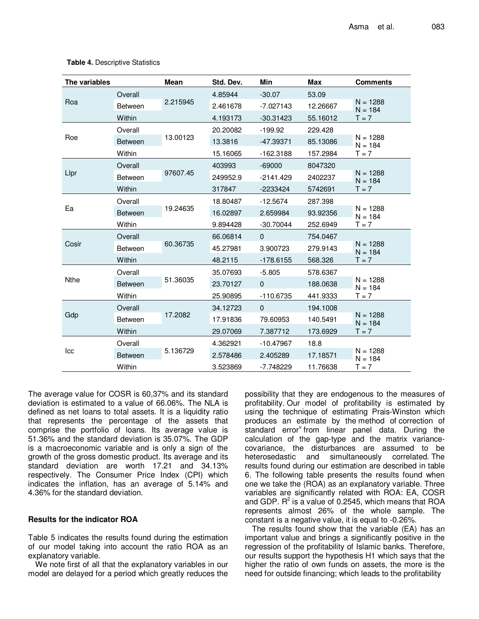| Max      | <b>Comments</b>         |
|----------|-------------------------|
| 53.09    |                         |
| 12.26667 | $N = 1288$<br>$N = 19A$ |

#### **Table 4.** Descriptive Statistics

| The variables |                | <b>Mean</b> | Std. Dev. | Min         | Max      | <b>Comments</b>         |
|---------------|----------------|-------------|-----------|-------------|----------|-------------------------|
|               | Overall        |             | 4.85944   | $-30.07$    | 53.09    |                         |
| Roa           | <b>Between</b> | 2.215945    | 2.461678  | $-7.027143$ | 12.26667 | $N = 1288$<br>$N = 184$ |
|               | Within         |             | 4.193173  | $-30.31423$ | 55.16012 | $T = 7$                 |
|               | Overall        |             | 20.20082  | $-199.92$   | 229.428  |                         |
| Roe           | <b>Between</b> | 13.00123    | 13.3816   | $-47.39371$ | 85.13086 | $N = 1288$<br>$N = 184$ |
|               | Within         |             | 15.16065  | $-162.3188$ | 157.2984 | $T = 7$                 |
|               | Overall        |             | 403993    | $-69000$    | 8047320  |                         |
| Lipr          | <b>Between</b> | 97607.45    | 249952.9  | $-2141.429$ | 2402237  | $N = 1288$<br>$N = 184$ |
|               | Within         |             | 317847    | $-2233424$  | 5742691  | $T = 7$                 |
|               | Overall        |             | 18.80487  | $-12.5674$  | 287.398  |                         |
| Ea            | <b>Between</b> | 19.24635    | 16.02897  | 2.659984    | 93.92356 | $N = 1288$<br>$N = 184$ |
|               | Within         |             | 9.894428  | $-30.70044$ | 252.6949 | $T = 7$                 |
|               | Overall        |             | 66.06814  | $\Omega$    | 754.0467 |                         |
| Cosir         | <b>Between</b> | 60.36735    | 45.27981  | 3.900723    | 279.9143 | $N = 1288$<br>$N = 184$ |
|               | Within         |             | 48.2115   | $-178.6155$ | 568.326  | $T = 7$                 |
|               | Overall        |             | 35.07693  | $-5.805$    | 578.6367 |                         |
| <b>Nthe</b>   | <b>Between</b> | 51.36035    | 23.70127  | $\Omega$    | 188.0638 | $N = 1288$<br>$N = 184$ |
|               | Within         |             | 25.90895  | $-110.6735$ | 441.9333 | $T = 7$                 |
|               | Overall        |             | 34.12723  | $\Omega$    | 194.1008 |                         |
| Gdp           | Between        | 17.2082     | 17.91836  | 79.60953    | 140.5491 | $N = 1288$<br>$N = 184$ |
|               | Within         |             | 29.07069  | 7.387712    | 173.6929 | $T = 7$                 |
|               | Overall        |             | 4.362921  | $-10.47967$ | 18.8     |                         |
| Icc           | <b>Between</b> | 5.136729    | 2.578486  | 2.405289    | 17.18571 | $N = 1288$<br>$N = 184$ |
|               | Within         |             | 3.523869  | $-7.748229$ | 11.76638 | $T = 7$                 |

The average value for COSR is 60,37% and its standard deviation is estimated to a value of 66.06%. The NLA is defined as net loans to total assets. It is a liquidity ratio that represents the percentage of the assets that comprise the portfolio of loans. Its average value is 51.36% and the standard deviation is 35.07%. The GDP is a macroeconomic variable and is only a sign of the growth of the gross domestic product. Its average and its standard deviation are worth 17.21 and 34.13% respectively. The Consumer Price Index (CPI) which indicates the inflation, has an average of 5.14% and 4.36% for the standard deviation.

#### **Results for the indicator ROA**

Table 5 indicates the results found during the estimation of our model taking into account the ratio ROA as an explanatory variable.

We note first of all that the explanatory variables in our model are delayed for a period which greatly reduces the possibility that they are endogenous to the measures of profitability. Our model of profitability is estimated by using the technique of estimating Prais-Winston which produces an estimate by the method of correction of .<br>standard error<sup>v</sup> from linear panel data. During the calculation of the gap-type and the matrix variancecovariance, the disturbances are assumed to be heterosedastic and simultaneously correlated. The results found during our estimation are described in table 6. The following table presents the results found when one we take the (ROA) as an explanatory variable. Three variables are significantly related with ROA: EA, COSR and GDP.  $R^2$  is a value of 0.2545, which means that ROA represents almost 26% of the whole sample. The constant is a negative value, it is equal to -0.26%.

The results found show that the variable (EA) has an important value and brings a significantly positive in the regression of the profitability of Islamic banks. Therefore, our results support the hypothesis H1 which says that the higher the ratio of own funds on assets, the more is the need for outside financing; which leads to the profitability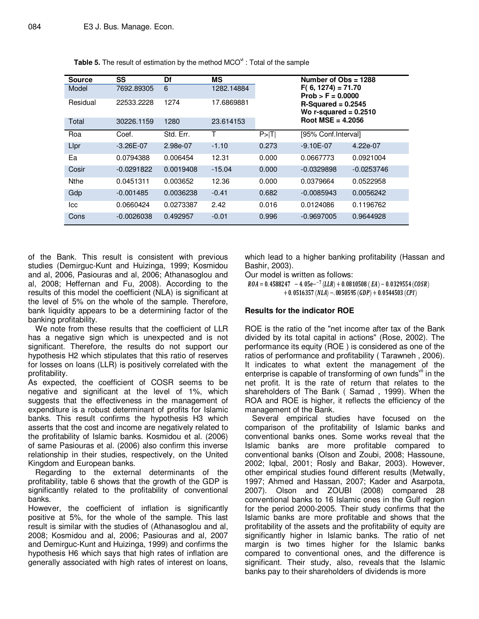| <b>Source</b><br>Model | SS<br>7692.89305 | Df<br>6   | <b>MS</b><br>1282.14884 |            | Number of $Obs = 1288$<br>$F(6, 1274) = 71.70$  |              |  |
|------------------------|------------------|-----------|-------------------------|------------|-------------------------------------------------|--------------|--|
|                        |                  |           |                         |            | $Prob > F = 0.0000$                             |              |  |
| Residual               | 22533.2228       | 1274      | 17.6869881              |            | $R-Squared = 0.2545$<br>Wo r-squared $= 0.2510$ |              |  |
| Total                  | 30226.1159       | 1280      | 23.614153               |            | Root MSE = $4.2056$                             |              |  |
| Roa                    | Coef.            | Std. Err. | Τ                       | $P>$ $ T $ | [95% Conf.Interval]                             |              |  |
| Lipr                   | $-3.26E - 07$    | 2.98e-07  | $-1.10$                 | 0.273      | $-9.10E - 07$                                   | 4.22e-07     |  |
| Ea                     | 0.0794388        | 0.006454  | 12.31                   | 0.000      | 0.0667773                                       | 0.0921004    |  |
| Cosir                  | $-0.0291822$     | 0.0019408 | $-15.04$                | 0.000      | $-0.0329898$                                    | $-0.0253746$ |  |
| <b>Nthe</b>            | 0.0451311        | 0.003652  | 12.36                   | 0.000      | 0.0379664                                       | 0.0522958    |  |
| Gdp                    | $-0.001485$      | 0.0036238 | $-0.41$                 | 0.682      | $-0.0085943$                                    | 0.0056242    |  |
| lcc                    | 0.0660424        | 0.0273387 | 2.42                    | 0.016      | 0.0124086                                       | 0.1196762    |  |
| Cons                   | $-0.0026038$     | 0.492957  | $-0.01$                 | 0.996      | $-0.9697005$                                    | 0.9644928    |  |

**Table 5.** The result of estimation by the method MCO<sup>vi</sup>: Total of the sample

of the Bank. This result is consistent with previous studies (Demirguc-Kunt and Huizinga, 1999; Kosmidou and al, 2006, Pasiouras and al, 2006; Athanasoglou and al, 2008; Heffernan and Fu, 2008). According to the results of this model the coefficient (NLA) is significant at the level of 5% on the whole of the sample. Therefore, bank liquidity appears to be a determining factor of the banking profitability.

We note from these results that the coefficient of LLR has a negative sign which is unexpected and is not significant. Therefore, the results do not support our hypothesis H2 which stipulates that this ratio of reserves for losses on loans (LLR) is positively correlated with the profitability.

As expected, the coefficient of COSR seems to be negative and significant at the level of 1%, which suggests that the effectiveness in the management of expenditure is a robust determinant of profits for Islamic banks. This result confirms the hypothesis H3 which asserts that the cost and income are negatively related to the profitability of Islamic banks. Kosmidou et al. (2006) of same Pasiouras et al. (2006) also confirm this inverse relationship in their studies, respectively, on the United Kingdom and European banks.

Regarding to the external determinants of the profitability, table 6 shows that the growth of the GDP is significantly related to the profitability of conventional banks.

However, the coefficient of inflation is significantly positive at 5%, for the whole of the sample. This last result is similar with the studies of (Athanasoglou and al, 2008; Kosmidou and al, 2006; Pasiouras and al, 2007 and Demirguc-Kunt and Huizinga, 1999) and confirms the hypothesis H6 which says that high rates of inflation are generally associated with high rates of interest on loans,

which lead to a higher banking profitability (Hassan and Bashir, 2003).

Our model is written as follows:

 $ROA = 0.4588247 - 4.05e^{-7} (LLR) + 0.0810508 (EA) - 0.0329554 (COSR)$  $+ 0.0516357 (NLA) - .0050595 (GDP) + 0.0544503 (CPI)$ 

# **Results for the indicator ROE**

ROE is the ratio of the "net income after tax of the Bank divided by its total capital in actions" (Rose, 2002). The performance its equity (ROE ) is considered as one of the ratios of performance and profitability ( Tarawneh , 2006). It indicates to what extent the management of the enterprise is capable of transforming of own funds $\frac{v}{v}$  in the net profit. It is the rate of return that relates to the shareholders of The Bank ( Samad , 1999). When the ROA and ROE is higher, it reflects the efficiency of the management of the Bank.

Several empirical studies have focused on the comparison of the profitability of Islamic banks and conventional banks ones. Some works reveal that the Islamic banks are more profitable compared to conventional banks (Olson and Zoubi, 2008; Hassoune, 2002; Iqbal, 2001; Rosly and Bakar, 2003). However, other empirical studies found different results (Metwally, 1997; Ahmed and Hassan, 2007; Kader and Asarpota, 2007). Olson and ZOUBI (2008) compared 28 conventional banks to 16 Islamic ones in the Gulf region for the period 2000-2005. Their study confirms that the Islamic banks are more profitable and shows that the profitability of the assets and the profitability of equity are significantly higher in Islamic banks. The ratio of net margin is two times higher for the Islamic banks compared to conventional ones, and the difference is significant. Their study, also, reveals that the Islamic banks pay to their shareholders of dividends is more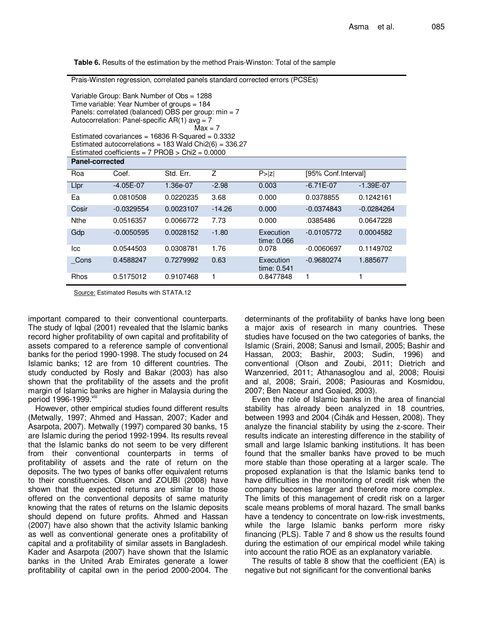**Table 6.** Results of the estimation by the method Prais-Winston: Total of the sample

Prais-Winsten regression, correlated panels standard corrected errors (PCSEs)

| Variable Group: Bank Number of Obs = 1288<br>Time variable: Year Number of groups = 184<br>Panels: correlated (balanced) OBS per group: $min = 7$<br>Autocorrelation: Panel-specific $AR(1)$ avg = 7<br>$Max = 7$<br>Estimated covariances = $16836$ R-Squared = 0.3332<br>Estimated autocorrelations = $183$ Wald Chi2(6) = $336.27$<br>Estimated coefficients = $7$ PROB > Chi $2 = 0.0000$ |              |           |          |                          |                      |               |  |  |
|-----------------------------------------------------------------------------------------------------------------------------------------------------------------------------------------------------------------------------------------------------------------------------------------------------------------------------------------------------------------------------------------------|--------------|-----------|----------|--------------------------|----------------------|---------------|--|--|
| <b>Panel-corrected</b>                                                                                                                                                                                                                                                                                                                                                                        |              |           |          |                          |                      |               |  |  |
| Roa                                                                                                                                                                                                                                                                                                                                                                                           | Coef.        | Std. Err. | Ζ        | P >  z                   | [95% Conf. Interval] |               |  |  |
| Llpr                                                                                                                                                                                                                                                                                                                                                                                          | $-4.05E-07$  | 1.36e-07  | $-2.98$  | 0.003                    | $-6.71E-07$          | $-1.39E - 07$ |  |  |
| Ea                                                                                                                                                                                                                                                                                                                                                                                            | 0.0810508    | 0.0220235 | 3.68     | 0.000                    | 0.0378855            | 0.1242161     |  |  |
| Cosir                                                                                                                                                                                                                                                                                                                                                                                         | $-0.0329554$ | 0.0023107 | $-14.26$ | 0.000                    | $-0.0374843$         | $-0.0284264$  |  |  |
| <b>Nthe</b>                                                                                                                                                                                                                                                                                                                                                                                   | 0.0516357    | 0.0066772 | 7.73     | 0.000                    | .0385486             | 0.0647228     |  |  |
| Gdp                                                                                                                                                                                                                                                                                                                                                                                           | $-0.0050595$ | 0.0028152 | $-1.80$  | Execution<br>time: 0.066 | $-0.0105772$         | 0.0004582     |  |  |
| lcc                                                                                                                                                                                                                                                                                                                                                                                           | 0.0544503    | 0.0308781 | 1.76     | 0.078                    | $-0.0060697$         | 0.1149702     |  |  |
| Cons                                                                                                                                                                                                                                                                                                                                                                                          | 0.4588247    | 0.7279992 | 0.63     | Execution<br>time: 0.541 | $-0.9680274$         | 1.885677      |  |  |
| Rhos                                                                                                                                                                                                                                                                                                                                                                                          | 0.5175012    | 0.9107468 | 1        | 0.8477848                |                      |               |  |  |

Source: Estimated Results with STATA.12

important compared to their conventional counterparts. The study of Iqbal (2001) revealed that the Islamic banks record higher profitability of own capital and profitability of assets compared to a reference sample of conventional banks for the period 1990-1998. The study focused on 24 Islamic banks; 12 are from 10 different countries. The study conducted by Rosly and Bakar (2003) has also shown that the profitability of the assets and the profit margin of Islamic banks are higher in Malaysia during the period 1996-1999.viii

However, other empirical studies found different results (Metwally, 1997; Ahmed and Hassan, 2007; Kader and Asarpota, 2007). Metwally (1997) compared 30 banks, 15 are Islamic during the period 1992-1994. Its results reveal that the Islamic banks do not seem to be very different from their conventional counterparts in terms of profitability of assets and the rate of return on the deposits. The two types of banks offer equivalent returns to their constituencies. Olson and ZOUBI (2008) have shown that the expected returns are similar to those offered on the conventional deposits of same maturity knowing that the rates of returns on the Islamic deposits should depend on future profits. Ahmed and Hassan (2007) have also shown that the activity Islamic banking as well as conventional generate ones a profitability of capital and a profitability of similar assets in Bangladesh. Kader and Asarpota (2007) have shown that the Islamic banks in the United Arab Emirates generate a lower profitability of capital own in the period 2000-2004. The

determinants of the profitability of banks have long been a major axis of research in many countries. These studies have focused on the two categories of banks, the Islamic (Srairi, 2008; Sanusi and Ismail, 2005; Bashir and Hassan, 2003; Bashir, 2003; Sudin, 1996) and conventional (Olson and Zoubi, 2011; Dietrich and Wanzenried, 2011; Athanasoglou and al, 2008; Rouisi and al, 2008; Srairi, 2008; Pasiouras and Kosmidou, 2007; Ben Naceur and Goaied, 2003).

Even the role of Islamic banks in the area of financial stability has already been analyzed in 18 countries, between 1993 and 2004 (Čihák and Hessen, 2008). They analyze the financial stability by using the z-score. Their results indicate an interesting difference in the stability of small and large Islamic banking institutions. It has been found that the smaller banks have proved to be much more stable than those operating at a larger scale. The proposed explanation is that the Islamic banks tend to have difficulties in the monitoring of credit risk when the company becomes larger and therefore more complex. The limits of this management of credit risk on a larger scale means problems of moral hazard. The small banks have a tendency to concentrate on low-risk investments, while the large Islamic banks perform more risky financing (PLS). Table 7 and 8 show us the results found during the estimation of our empirical model while taking into account the ratio ROE as an explanatory variable.

The results of table 8 show that the coefficient (EA) is negative but not significant for the conventional banks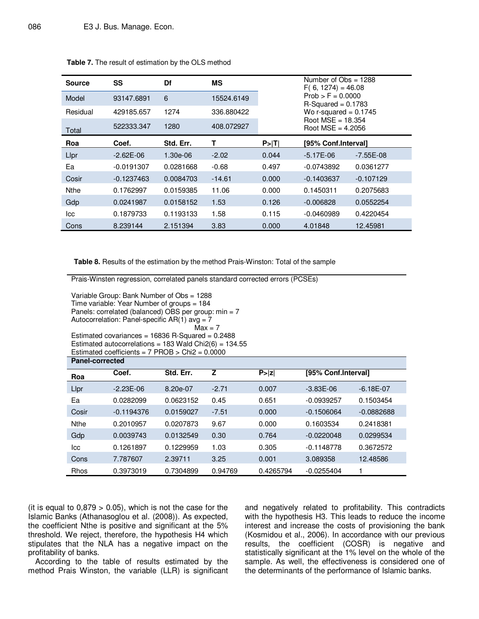| <b>Source</b> | SS           | Df        | МS         |         | Number of $Obs = 1288$<br>$F(6, 1274) = 46.08$ |             |  |
|---------------|--------------|-----------|------------|---------|------------------------------------------------|-------------|--|
| Model         | 93147.6891   | 6         | 15524.6149 |         | $Prob > F = 0.0000$<br>$R-Squared = 0.1783$    |             |  |
| Residual      | 429185.657   | 1274      | 336.880422 |         | Wo r-squared = $0.1745$                        |             |  |
| Total         | 522333.347   | 1280      | 408.072927 |         | Root $MSE = 18.354$<br>Root $MSE = 4.2056$     |             |  |
| Roa           | Coef.        | Std. Err. | Т          | $P>$  T | [95% Conf.Interval]                            |             |  |
| Lipr          | $-2.62E-06$  | 1.30e-06  | $-2.02$    | 0.044   | $-5.17E-06$                                    | -7.55E-08   |  |
| Ea            | $-0.0191307$ | 0.0281668 | $-0.68$    | 0.497   | $-0.0743892$                                   | 0.0361277   |  |
| Cosir         | $-0.1237463$ | 0.0084703 | $-14.61$   | 0.000   | $-0.1403637$                                   | $-0.107129$ |  |
| <b>Nthe</b>   | 0.1762997    | 0.0159385 | 11.06      | 0.000   | 0.1450311                                      | 0.2075683   |  |
| Gdp           | 0.0241987    | 0.0158152 | 1.53       | 0.126   | $-0.006828$                                    | 0.0552254   |  |
| lcc           | 0.1879733    | 0.1193133 | 1.58       | 0.115   | $-0.0460989$                                   | 0.4220454   |  |
| Cons          | 8.239144     | 2.151394  | 3.83       | 0.000   | 4.01848                                        | 12.45981    |  |

|  |  | Table 7. The result of estimation by the OLS method |  |  |
|--|--|-----------------------------------------------------|--|--|
|--|--|-----------------------------------------------------|--|--|

**Table 8.** Results of the estimation by the method Prais-Winston: Total of the sample

Prais-Winsten regression, correlated panels standard corrected errors (PCSEs)

| Fidis-WillisterFiegression, correlated pariers standard corrected errors (FOSES)                                                                                                                                                                                                                                                                                                                                     |              |           |         |           |                     |              |  |  |
|----------------------------------------------------------------------------------------------------------------------------------------------------------------------------------------------------------------------------------------------------------------------------------------------------------------------------------------------------------------------------------------------------------------------|--------------|-----------|---------|-----------|---------------------|--------------|--|--|
| Variable Group: Bank Number of Obs = 1288<br>Time variable: Year Number of groups = 184<br>Panels: correlated (balanced) OBS per group: $min = 7$<br>Autocorrelation: Panel-specific AR(1) avg = 7<br>$Max = 7$<br>Estimated covariances = $16836$ R-Squared = 0.2488<br>Estimated autocorrelations = 183 Wald Chi $2(6)$ = 134.55<br>Estimated coefficients = $7$ PROB > Chi $2 = 0.0000$<br><b>Panel-corrected</b> |              |           |         |           |                     |              |  |  |
| Roa                                                                                                                                                                                                                                                                                                                                                                                                                  | Coef.        | Std. Err. | z       | P >  z    | [95% Conf.Interval] |              |  |  |
|                                                                                                                                                                                                                                                                                                                                                                                                                      |              |           |         |           |                     |              |  |  |
| Lipr                                                                                                                                                                                                                                                                                                                                                                                                                 | $-2.23E-06$  | 8.20e-07  | $-2.71$ | 0.007     | $-3.83E-06$         | $-6.18E-07$  |  |  |
| Ea                                                                                                                                                                                                                                                                                                                                                                                                                   | 0.0282099    | 0.0623152 | 0.45    | 0.651     | $-0.0939257$        | 0.1503454    |  |  |
| Cosir                                                                                                                                                                                                                                                                                                                                                                                                                | $-0.1194376$ | 0.0159027 | $-7.51$ | 0.000     | $-0.1506064$        | $-0.0882688$ |  |  |
| <b>Nthe</b>                                                                                                                                                                                                                                                                                                                                                                                                          | 0.2010957    | 0.0207873 | 9.67    | 0.000     | 0.1603534           | 0.2418381    |  |  |
| Gdp                                                                                                                                                                                                                                                                                                                                                                                                                  | 0.0039743    | 0.0132549 | 0.30    | 0.764     | $-0.0220048$        | 0.0299534    |  |  |
| lcc                                                                                                                                                                                                                                                                                                                                                                                                                  | 0.1261897    | 0.1229959 | 1.03    | 0.305     | $-0.1148778$        | 0.3672572    |  |  |
| Cons                                                                                                                                                                                                                                                                                                                                                                                                                 | 7.787607     | 2.39711   | 3.25    | 0.001     | 3.089358            | 12.48586     |  |  |
| <b>Rhos</b>                                                                                                                                                                                                                                                                                                                                                                                                          | 0.3973019    | 0.7304899 | 0.94769 | 0.4265794 | $-0.0255404$        |              |  |  |

(it is equal to  $0.879 > 0.05$ ), which is not the case for the Islamic Banks (Athanasoglou et al. (2008)). As expected, the coefficient Nthe is positive and significant at the 5% threshold. We reject, therefore, the hypothesis H4 which stipulates that the NLA has a negative impact on the profitability of banks.

According to the table of results estimated by the method Prais Winston, the variable (LLR) is significant and negatively related to profitability. This contradicts with the hypothesis H3. This leads to reduce the income interest and increase the costs of provisioning the bank (Kosmidou et al., 2006). In accordance with our previous results, the coefficient (COSR) is negative and statistically significant at the 1% level on the whole of the sample. As well, the effectiveness is considered one of the determinants of the performance of Islamic banks.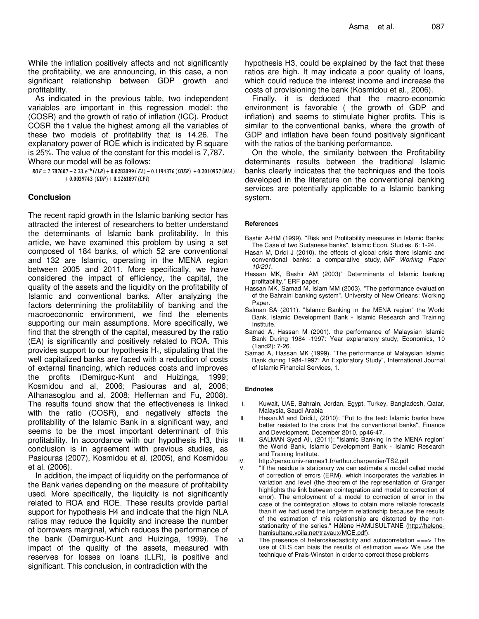While the inflation positively affects and not significantly the profitability, we are announcing, in this case, a non significant relationship between GDP growth and profitability.

As indicated in the previous table, two independent variables are important in this regression model: the (COSR) and the growth of ratio of inflation (ICC). Product COSR the t value the highest among all the variables of these two models of profitability that is 14.26. The explanatory power of ROE which is indicated by R square is 25%. The value of the constant for this model is 7,787.

Where our model will be as follows:

 $ROE = 7.787607 - 2.23 \cdot e^{-6} (LLR) + 0.0282099 (EA) - 0.1194376 (COSR) + 0.2010957 (NLA)$  $+ 0.0039743$  (GDP)  $+ 0.1261897$  (CPI)

#### **Conclusion**

The recent rapid growth in the Islamic banking sector has attracted the interest of researchers to better understand the determinants of Islamic bank profitability. In this article, we have examined this problem by using a set composed of 184 banks, of which 52 are conventional and 132 are Islamic, operating in the MENA region between 2005 and 2011. More specifically, we have considered the impact of efficiency, the capital, the quality of the assets and the liquidity on the profitability of Islamic and conventional banks. After analyzing the factors determining the profitability of banking and the macroeconomic environment, we find the elements supporting our main assumptions. More specifically, we find that the strength of the capital, measured by the ratio (EA) is significantly and positively related to ROA. This provides support to our hypothesis  $H_1$ , stipulating that the well capitalized banks are faced with a reduction of costs of external financing, which reduces costs and improves the profits (Demirguc-Kunt and Huizinga, 1999; Kosmidou and al, 2006; Pasiouras and al, 2006; Athanasoglou and al, 2008; Heffernan and Fu, 2008). The results found show that the effectiveness is linked with the ratio (COSR), and negatively affects the profitability of the Islamic Bank in a significant way, and seems to be the most important determinant of this profitability. In accordance with our hypothesis H3, this conclusion is in agreement with previous studies, as Pasiouras (2007), Kosmidou et al. (2005), and Kosmidou et al. (2006).

In addition, the impact of liquidity on the performance of the Bank varies depending on the measure of profitability used. More specifically, the liquidity is not significantly related to ROA and ROE. These results provide partial support for hypothesis H4 and indicate that the high NLA ratios may reduce the liquidity and increase the number of borrowers marginal, which reduces the performance of the bank (Demirguc-Kunt and Huizinga, 1999). The impact of the quality of the assets, measured with reserves for losses on loans (LLR), is positive and significant. This conclusion, in contradiction with the

hypothesis H3, could be explained by the fact that these ratios are high. It may indicate a poor quality of loans, which could reduce the interest income and increase the costs of provisioning the bank (Kosmidou et al., 2006).

Finally, it is deduced that the macro-economic environment is favorable ( the growth of GDP and inflation) and seems to stimulate higher profits. This is similar to the conventional banks, where the growth of GDP and inflation have been found positively significant with the ratios of the banking performance.

On the whole, the similarity between the Profitability determinants results between the traditional Islamic banks clearly indicates that the techniques and the tools developed in the literature on the conventional banking services are potentially applicable to a Islamic banking system.

#### **References**

- Bashir A-HM (1999). "Risk and Profitability measures in Islamic Banks: The Case of two Sudanese banks", Islamic Econ. Studies. 6: 1-24.
- Hasan M, Dridi J (2010). the effects of global crisis there Islamic and conventional banks: a comparative study, IMF Working Paper 10/201.
- Hassan MK, Bashir AM (2003)" Determinants of Islamic banking profitability," ERF paper.
- Hassan MK, Samad M, Islam MM (2003). "The performance evaluation of the Bahraini banking system". University of New Orleans: Working Paper.
- Salman SA (2011). "Islamic Banking in the MENA region" the World Bank, Islamic Development Bank - Islamic Research and Training Institute.
- Samad A, Hassan M (2001). the performance of Malaysian Islamic Bank During 1984 -1997: Year explanatory study, Economics, 10 (1and2): 7-26.
- Samad A, Hassan MK (1999). "The performance of Malaysian Islamic Bank during 1984-1997: An Exploratory Study", International Journal of Islamic Financial Services, 1.

#### **Endnotes**

- I. Kuwait, UAE, Bahrain, Jordan, Egypt, Turkey, Bangladesh, Qatar, Malaysia, Saudi Arabia
- II. Hasan.M and Dridi.I, (2010): "Put to the test: Islamic banks have better resisted to the crisis that the conventional banks", Finance and Development, December 2010, pp46-47.
- III. SALMAN Syed Ali, (2011): "Islamic Banking in the MENA region" the World Bank, Islamic Development Bank - Islamic Research and Training Institute.
- IV. http://perso.univ-rennes1.fr/arthur.charpentier/TS2.pdf
- V. "If the residue is stationary we can estimate a model called model of correction of errors (ERM), which incorporates the variables in variation and level (the theorem of the representation of Granger highlights the link between cointegration and model to correction of error). The employment of a model to correction of error in the case of the cointegration allows to obtain more reliable forecasts than if we had used the long-term relationship because the results of the estimation of this relationship are distorted by the nonstationarity of the series." Hélène HAMUSULTANE (http://helenehamisultane.voila.net/travaux/MCE.pdf).
- VI. The presence of heteroskedasticity and autocorrelation ===> The use of OLS can biais the results of estimation ===> We use the technique of Prais-Winston in order to correct these problems